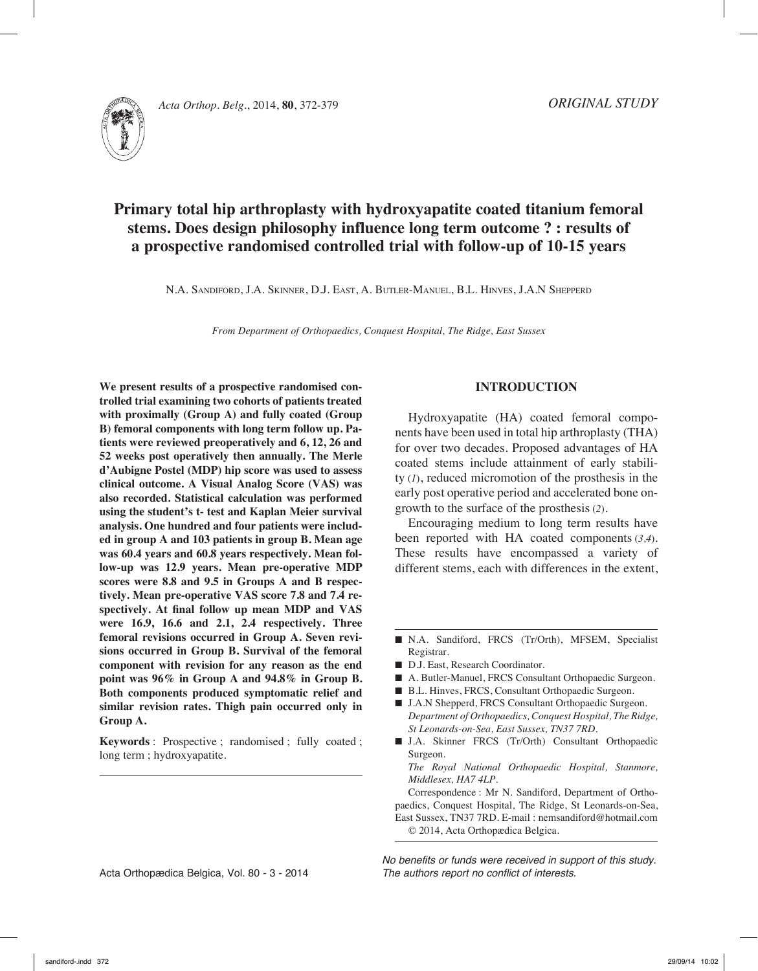

# **Primary total hip arthroplasty with hydroxyapatite coated titanium femoral stems. Does design philosophy influence long term outcome ? : results of a prospective randomised controlled trial with follow-up of 10-15 years**

N.A. Sandiford, J.A. Skinner, D.J. East, A. Butler-Manuel, B.L. Hinves, J.A.N Shepperd

*From Department of Orthopaedics, Conquest Hospital, The Ridge, East Sussex*

**We present results of a prospective randomised controlled trial examining two cohorts of patients treated with proximally (Group A) and fully coated (Group B) femoral components with long term follow up. Patients were reviewed preoperatively and 6, 12, 26 and 52 weeks post operatively then annually. The Merle d'Aubigne Postel (MDP) hip score was used to assess clinical outcome. A Visual Analog Score (VAS) was also recorded. Statistical calculation was performed using the student's t- test and Kaplan Meier survival analysis. One hundred and four patients were included in group A and 103 patients in group B. Mean age was 60.4 years and 60.8 years respectively. Mean follow-up was 12.9 years. Mean pre-operative MDP scores were 8.8 and 9.5 in Groups A and B respectively. Mean pre-operative VAS score 7.8 and 7.4 respectively. At final follow up mean MDP and VAS were 16.9, 16.6 and 2.1, 2.4 respectively. Three femoral revisions occurred in Group A. Seven revisions occurred in Group B. Survival of the femoral component with revision for any reason as the end point was 96% in Group A and 94.8% in Group B. Both components produced symptomatic relief and similar revision rates. Thigh pain occurred only in Group A.**

**Keywords** : Prospective ; randomised ; fully coated ; long term ; hydroxyapatite.

## **INTRODUCTION**

Hydroxyapatite (HA) coated femoral components have been used in total hip arthroplasty (THA) for over two decades. Proposed advantages of HA coated stems include attainment of early stability (*1*), reduced micromotion of the prosthesis in the early post operative period and accelerated bone ongrowth to the surface of the prosthesis (*2*).

Encouraging medium to long term results have been reported with HA coated components (*3,4*). These results have encompassed a variety of different stems, each with differences in the extent,

n N.A. Sandiford, FRCS (Tr/Orth), MFSEM, Specialist Registrar.

- D.J. East, Research Coordinator.
- A. Butler-Manuel, FRCS Consultant Orthopaedic Surgeon.
- B.L. Hinves, FRCS, Consultant Orthopaedic Surgeon.
- J.A.N Shepperd, FRCS Consultant Orthopaedic Surgeon. *Department of Orthopaedics, Conquest Hospital, The Ridge, St Leonards-on-Sea, East Sussex, TN37 7RD.*
- n J.A. Skinner FRCS (Tr/Orth) Consultant Orthopaedic Surgeon.

*The Royal National Orthopaedic Hospital, Stanmore, Middlesex, HA7 4LP.*

Correspondence : Mr N. Sandiford, Department of Orthopaedics, Conquest Hospital, The Ridge, St Leonards-on-Sea, East Sussex, TN37 7RD. E-mail : nemsandiford@hotmail.com © 2014, Acta Orthopædica Belgica.

Acta Orthopædica Belgica, Vol. 80 - 3 - 2014

*No benefits or funds were received in support of this study. The authors report no conflict of interests.*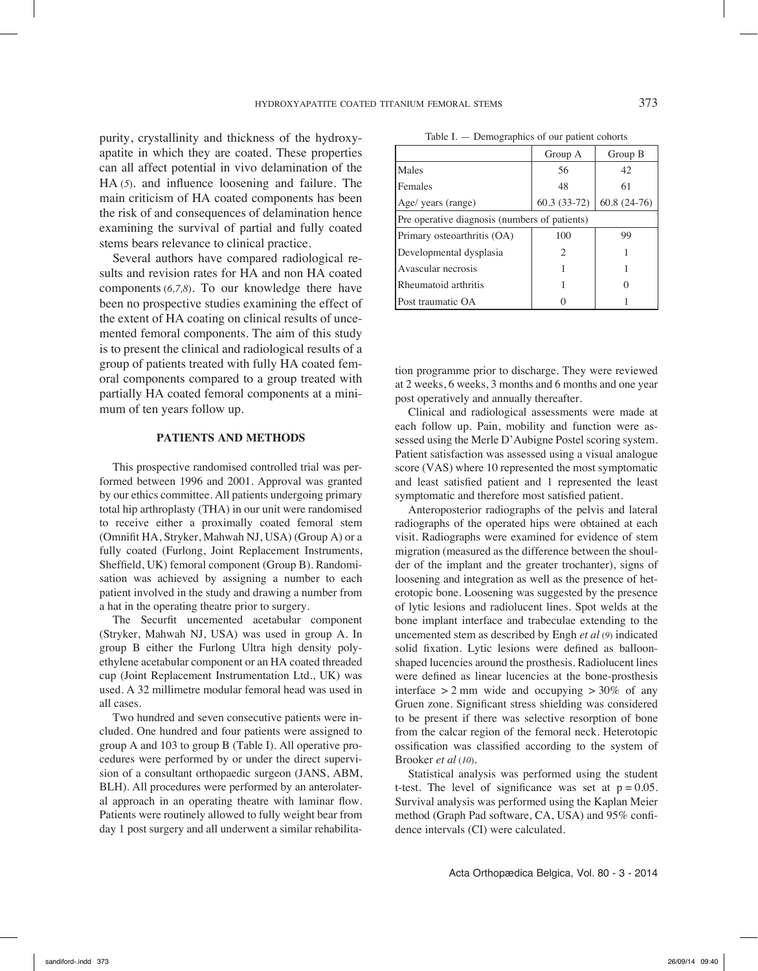purity, crystallinity and thickness of the hydroxyapatite in which they are coated. These properties can all affect potential in vivo delamination of the HA (*5*). and influence loosening and failure. The main criticism of HA coated components has been the risk of and consequences of delamination hence examining the survival of partial and fully coated stems bears relevance to clinical practice.

Several authors have compared radiological results and revision rates for HA and non HA coated components (*6,7,8*). To our knowledge there have been no prospective studies examining the effect of the extent of HA coating on clinical results of uncemented femoral components. The aim of this study is to present the clinical and radiological results of a group of patients treated with fully HA coated femoral components compared to a group treated with partially HA coated femoral components at a minimum of ten years follow up.

#### **PATIENTS AND METHODS**

This prospective randomised controlled trial was performed between 1996 and 2001. Approval was granted by our ethics committee. All patients undergoing primary total hip arthroplasty (THA) in our unit were randomised to receive either a proximally coated femoral stem (Omnifit HA, Stryker, Mahwah NJ, USA) (Group A) or a fully coated (Furlong, Joint Replacement Instruments, Sheffield, UK) femoral component (Group B). Randomisation was achieved by assigning a number to each patient involved in the study and drawing a number from a hat in the operating theatre prior to surgery.

The Securfit uncemented acetabular component (Stryker, Mahwah NJ, USA) was used in group A. In group B either the Furlong Ultra high density polyethylene acetabular component or an HA coated threaded cup (Joint Replacement Instrumentation Ltd., UK) was used. A 32 millimetre modular femoral head was used in all cases.

Two hundred and seven consecutive patients were included. One hundred and four patients were assigned to group A and 103 to group B (Table I). All operative procedures were performed by or under the direct supervision of a consultant orthopaedic surgeon (JANS, ABM, BLH). All procedures were performed by an anterolateral approach in an operating theatre with laminar flow. Patients were routinely allowed to fully weight bear from day 1 post surgery and all underwent a similar rehabilita-

Table I. — Demographics of our patient cohorts

|                                               | Group A                       | Group B       |  |
|-----------------------------------------------|-------------------------------|---------------|--|
| Males                                         | 56                            | 42            |  |
| Females                                       | 48                            | 61            |  |
| Age/ years (range)                            | $60.3(33-72)$                 | $60.8(24-76)$ |  |
| Pre operative diagnosis (numbers of patients) |                               |               |  |
| Primary osteoarthritis (OA)                   | 100                           | 99            |  |
| Developmental dysplasia                       | $\mathfrak{D}_{\mathfrak{p}}$ |               |  |
| Avascular necrosis                            |                               |               |  |
| Rheumatoid arthritis                          |                               |               |  |
| Post traumatic OA                             |                               |               |  |

tion programme prior to discharge. They were reviewed at 2 weeks, 6 weeks, 3 months and 6 months and one year post operatively and annually thereafter.

Clinical and radiological assessments were made at each follow up. Pain, mobility and function were assessed using the Merle D'Aubigne Postel scoring system. Patient satisfaction was assessed using a visual analogue score (VAS) where 10 represented the most symptomatic and least satisfied patient and 1 represented the least symptomatic and therefore most satisfied patient.

Anteroposterior radiographs of the pelvis and lateral radiographs of the operated hips were obtained at each visit. Radiographs were examined for evidence of stem migration (measured as the difference between the shoulder of the implant and the greater trochanter), signs of loosening and integration as well as the presence of heterotopic bone. Loosening was suggested by the presence of lytic lesions and radiolucent lines. Spot welds at the bone implant interface and trabeculae extending to the uncemented stem as described by Engh *et al* (*9*) indicated solid fixation. Lytic lesions were defined as balloonshaped lucencies around the prosthesis. Radiolucent lines were defined as linear lucencies at the bone-prosthesis interface  $> 2$  mm wide and occupying  $> 30\%$  of any Gruen zone. Significant stress shielding was considered to be present if there was selective resorption of bone from the calcar region of the femoral neck. Heterotopic ossification was classified according to the system of Brooker *et al* (*10*).

Statistical analysis was performed using the student t-test. The level of significance was set at  $p = 0.05$ . Survival analysis was performed using the Kaplan Meier method (Graph Pad software, CA, USA) and 95% confidence intervals (CI) were calculated.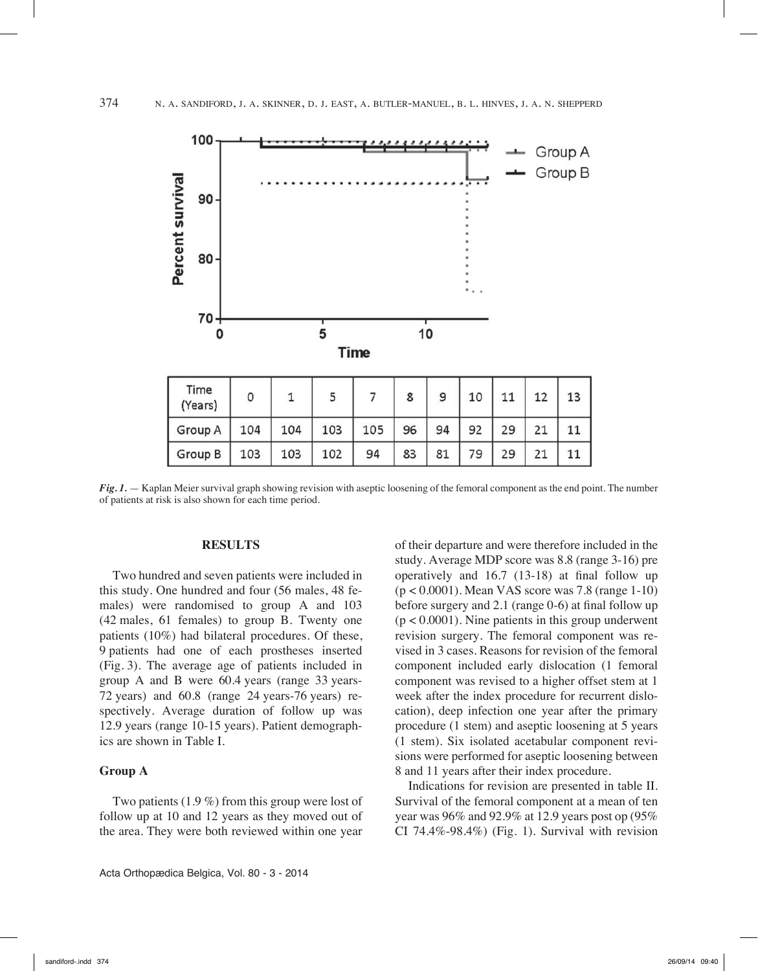

*Fig. 1.* — Kaplan Meier survival graph showing revision with aseptic loosening of the femoral component as the end point. The number of patients at risk is also shown for each time period.

#### **RESULTS**

Two hundred and seven patients were included in this study. One hundred and four (56 males, 48 females) were randomised to group A and 103 (42 males, 61 females) to group B. Twenty one patients (10%) had bilateral procedures. Of these, 9 patients had one of each prostheses inserted (Fig. 3). The average age of patients included in group A and B were 60.4 years (range 33 years-72 years) and 60.8 (range 24 years-76 years) respectively. Average duration of follow up was 12.9 years (range 10-15 years). Patient demographics are shown in Table I.

#### **Group A**

Two patients (1.9 %) from this group were lost of follow up at 10 and 12 years as they moved out of the area. They were both reviewed within one year of their departure and were therefore included in the study. Average MDP score was 8.8 (range 3-16) pre operatively and 16.7 (13-18) at final follow up (p < 0.0001). Mean VAS score was 7.8 (range 1-10) before surgery and 2.1 (range 0-6) at final follow up  $(p < 0.0001)$ . Nine patients in this group underwent revision surgery. The femoral component was revised in 3 cases. Reasons for revision of the femoral component included early dislocation (1 femoral component was revised to a higher offset stem at 1 week after the index procedure for recurrent dislocation), deep infection one year after the primary procedure (1 stem) and aseptic loosening at 5 years (1 stem). Six isolated acetabular component revisions were performed for aseptic loosening between 8 and 11 years after their index procedure.

Indications for revision are presented in table II. Survival of the femoral component at a mean of ten year was 96% and 92.9% at 12.9 years post op (95% CI 74.4%-98.4%) (Fig. 1). Survival with revision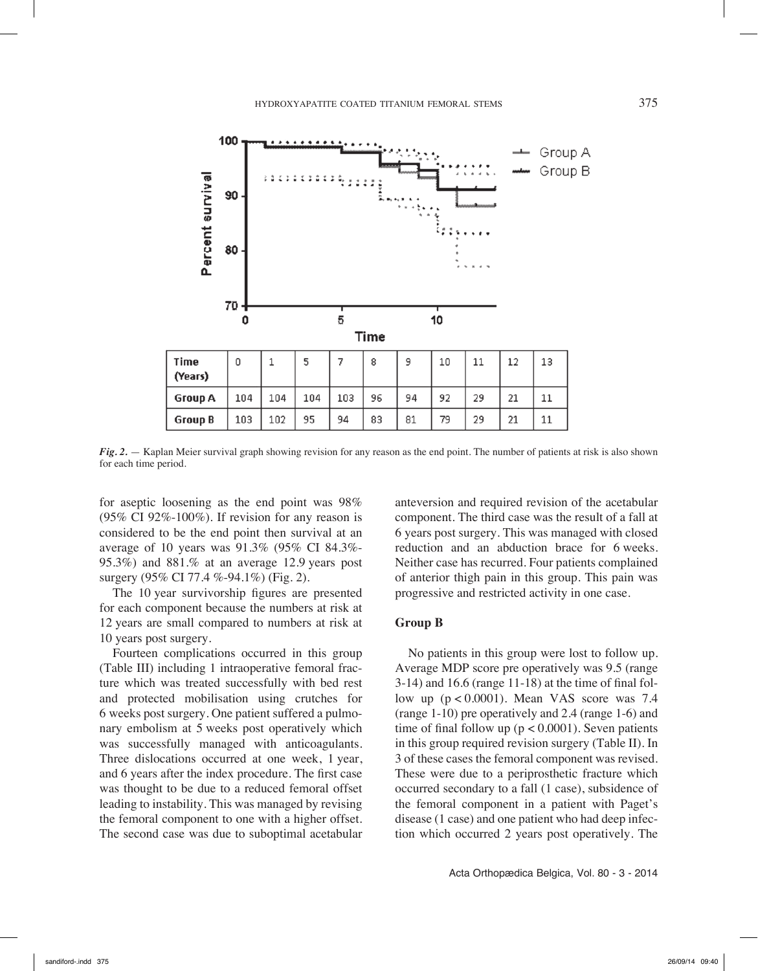

*Fig. 2.* — Kaplan Meier survival graph showing revision for any reason as the end point. The number of patients at risk is also shown for each time period.

for aseptic loosening as the end point was 98%  $(95\% \text{ CI } 92\% - 100\%)$ . If revision for any reason is considered to be the end point then survival at an average of 10 years was 91.3% (95% CI 84.3%-95.3%) and 881.% at an average 12.9 years post surgery (95% CI 77.4 %-94.1%) (Fig. 2).

The 10 year survivorship figures are presented for each component because the numbers at risk at 12 years are small compared to numbers at risk at 10 years post surgery.

Fourteen complications occurred in this group (Table III) including 1 intraoperative femoral fracture which was treated successfully with bed rest and protected mobilisation using crutches for 6 weeks post surgery. One patient suffered a pulmonary embolism at 5 weeks post operatively which was successfully managed with anticoagulants. Three dislocations occurred at one week, 1 year, and 6 years after the index procedure. The first case was thought to be due to a reduced femoral offset leading to instability. This was managed by revising the femoral component to one with a higher offset. The second case was due to suboptimal acetabular

anteversion and required revision of the acetabular component. The third case was the result of a fall at 6 years post surgery. This was managed with closed reduction and an abduction brace for 6 weeks. Neither case has recurred. Four patients complained of anterior thigh pain in this group. This pain was progressive and restricted activity in one case.

## **Group B**

No patients in this group were lost to follow up. Average MDP score pre operatively was 9.5 (range 3-14) and 16.6 (range 11-18) at the time of final follow up  $(p < 0.0001)$ . Mean VAS score was 7.4 (range 1-10) pre operatively and 2.4 (range 1-6) and time of final follow up ( $p < 0.0001$ ). Seven patients in this group required revision surgery (Table II). In 3 of these cases the femoral component was revised. These were due to a periprosthetic fracture which occurred secondary to a fall (1 case), subsidence of the femoral component in a patient with Paget's disease (1 case) and one patient who had deep infection which occurred 2 years post operatively. The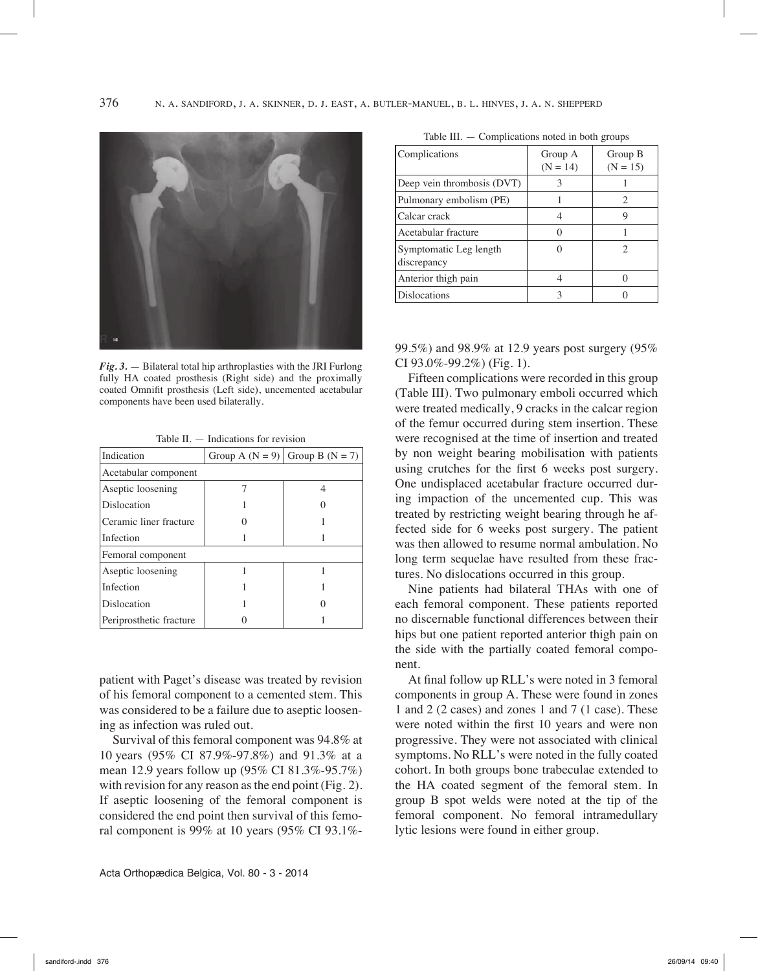

*Fig. 3.* — Bilateral total hip arthroplasties with the JRI Furlong fully HA coated prosthesis (Right side) and the proximally coated Omnifit prosthesis (Left side), uncemented acetabular components have been used bilaterally.

Table II. — Indications for revision

| Indication              |  | Group A $(N = 9)$ Group B $(N = 7)$ |  |  |
|-------------------------|--|-------------------------------------|--|--|
| Acetabular component    |  |                                     |  |  |
| Aseptic loosening       |  |                                     |  |  |
| Dislocation             |  |                                     |  |  |
| Ceramic liner fracture  |  |                                     |  |  |
| Infection               |  |                                     |  |  |
| Femoral component       |  |                                     |  |  |
| Aseptic loosening       |  |                                     |  |  |
| Infection               |  |                                     |  |  |
| Dislocation             |  |                                     |  |  |
| Periprosthetic fracture |  |                                     |  |  |

patient with Paget's disease was treated by revision of his femoral component to a cemented stem. This was considered to be a failure due to aseptic loosening as infection was ruled out.

Survival of this femoral component was 94.8% at 10 years (95% CI 87.9%-97.8%) and 91.3% at a mean 12.9 years follow up (95% CI 81.3%-95.7%) with revision for any reason as the end point (Fig. 2). If aseptic loosening of the femoral component is considered the end point then survival of this femoral component is 99% at 10 years (95% CI 93.1%-

| Complications                         | Group A<br>$(N = 14)$ | Group B<br>$(N = 15)$ |
|---------------------------------------|-----------------------|-----------------------|
| Deep vein thrombosis (DVT)            |                       |                       |
| Pulmonary embolism (PE)               |                       | 2                     |
| Calcar crack                          |                       | 9                     |
| Acetabular fracture                   | O                     |                       |
| Symptomatic Leg length<br>discrepancy |                       |                       |
| Anterior thigh pain                   |                       |                       |

Table III. — Complications noted in both groups

99.5%) and 98.9% at 12.9 years post surgery (95% CI  $93.0\% - 99.2\%$ ) (Fig. 1).

Dislocations and 3 0

Fifteen complications were recorded in this group (Table III). Two pulmonary emboli occurred which were treated medically, 9 cracks in the calcar region of the femur occurred during stem insertion. These were recognised at the time of insertion and treated by non weight bearing mobilisation with patients using crutches for the first 6 weeks post surgery. One undisplaced acetabular fracture occurred during impaction of the uncemented cup. This was treated by restricting weight bearing through he affected side for 6 weeks post surgery. The patient was then allowed to resume normal ambulation. No long term sequelae have resulted from these fractures. No dislocations occurred in this group.

Nine patients had bilateral THAs with one of each femoral component. These patients reported no discernable functional differences between their hips but one patient reported anterior thigh pain on the side with the partially coated femoral component.

At final follow up RLL's were noted in 3 femoral components in group A. These were found in zones 1 and 2 (2 cases) and zones 1 and 7 (1 case). These were noted within the first 10 years and were non progressive. They were not associated with clinical symptoms. No RLL's were noted in the fully coated cohort. In both groups bone trabeculae extended to the HA coated segment of the femoral stem. In group B spot welds were noted at the tip of the femoral component. No femoral intramedullary lytic lesions were found in either group.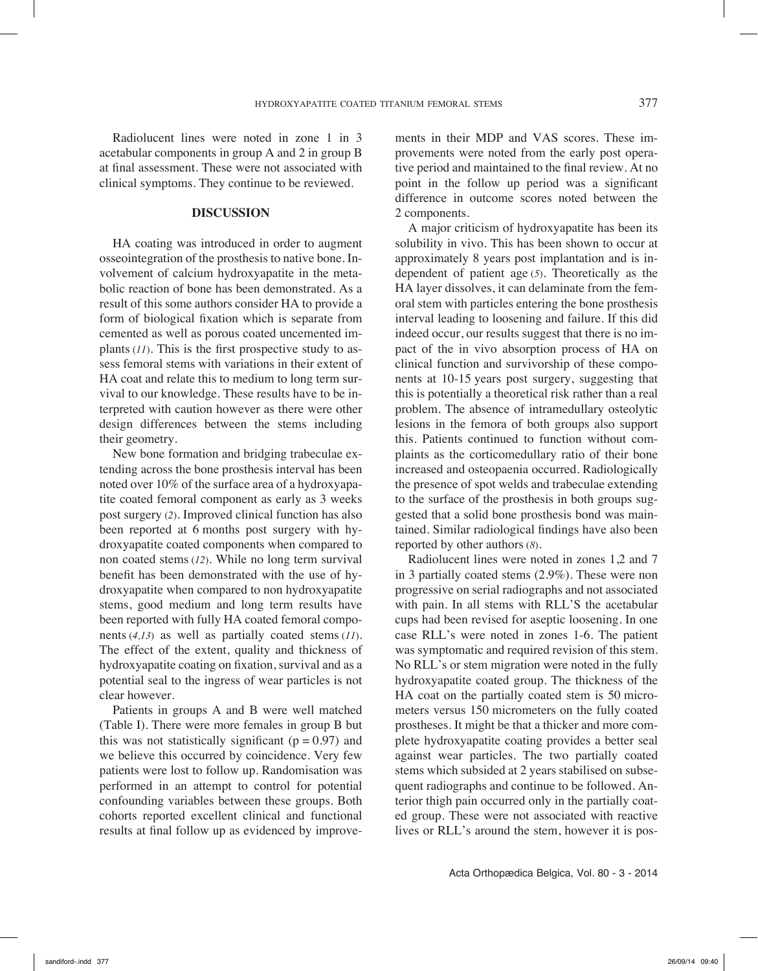Radiolucent lines were noted in zone 1 in 3 acetabular components in group A and 2 in group B at final assessment. These were not associated with clinical symptoms. They continue to be reviewed.

## **DISCUSSION**

HA coating was introduced in order to augment osseointegration of the prosthesis to native bone. Involvement of calcium hydroxyapatite in the metabolic reaction of bone has been demonstrated. As a result of this some authors consider HA to provide a form of biological fixation which is separate from cemented as well as porous coated uncemented implants (*11*). This is the first prospective study to assess femoral stems with variations in their extent of HA coat and relate this to medium to long term survival to our knowledge. These results have to be interpreted with caution however as there were other design differences between the stems including their geometry.

New bone formation and bridging trabeculae extending across the bone prosthesis interval has been noted over 10% of the surface area of a hydroxyapatite coated femoral component as early as 3 weeks post surgery (*2*). Improved clinical function has also been reported at 6 months post surgery with hydroxyapatite coated components when compared to non coated stems (*12*). While no long term survival benefit has been demonstrated with the use of hydroxyapatite when compared to non hydroxyapatite stems, good medium and long term results have been reported with fully HA coated femoral components (*4,13*) as well as partially coated stems (*11*). The effect of the extent, quality and thickness of hydroxyapatite coating on fixation, survival and as a potential seal to the ingress of wear particles is not clear however.

Patients in groups A and B were well matched (Table I). There were more females in group B but this was not statistically significant ( $p = 0.97$ ) and we believe this occurred by coincidence. Very few patients were lost to follow up. Randomisation was performed in an attempt to control for potential confounding variables between these groups. Both cohorts reported excellent clinical and functional results at final follow up as evidenced by improvements in their MDP and VAS scores. These improvements were noted from the early post operative period and maintained to the final review. At no point in the follow up period was a significant difference in outcome scores noted between the 2 components.

A major criticism of hydroxyapatite has been its solubility in vivo. This has been shown to occur at approximately 8 years post implantation and is independent of patient age (*5*). Theoretically as the HA layer dissolves, it can delaminate from the femoral stem with particles entering the bone prosthesis interval leading to loosening and failure. If this did indeed occur, our results suggest that there is no impact of the in vivo absorption process of HA on clinical function and survivorship of these components at 10-15 years post surgery, suggesting that this is potentially a theoretical risk rather than a real problem. The absence of intramedullary osteolytic lesions in the femora of both groups also support this. Patients continued to function without complaints as the corticomedullary ratio of their bone increased and osteopaenia occurred. Radiologically the presence of spot welds and trabeculae extending to the surface of the prosthesis in both groups suggested that a solid bone prosthesis bond was maintained. Similar radiological findings have also been reported by other authors (*8*).

Radiolucent lines were noted in zones 1,2 and 7 in 3 partially coated stems (2.9%). These were non progressive on serial radiographs and not associated with pain. In all stems with RLL'S the acetabular cups had been revised for aseptic loosening. In one case RLL's were noted in zones 1-6. The patient was symptomatic and required revision of this stem. No RLL's or stem migration were noted in the fully hydroxyapatite coated group. The thickness of the HA coat on the partially coated stem is 50 micrometers versus 150 micrometers on the fully coated prostheses. It might be that a thicker and more complete hydroxyapatite coating provides a better seal against wear particles. The two partially coated stems which subsided at 2 years stabilised on subsequent radiographs and continue to be followed. Anterior thigh pain occurred only in the partially coated group. These were not associated with reactive lives or RLL's around the stem, however it is pos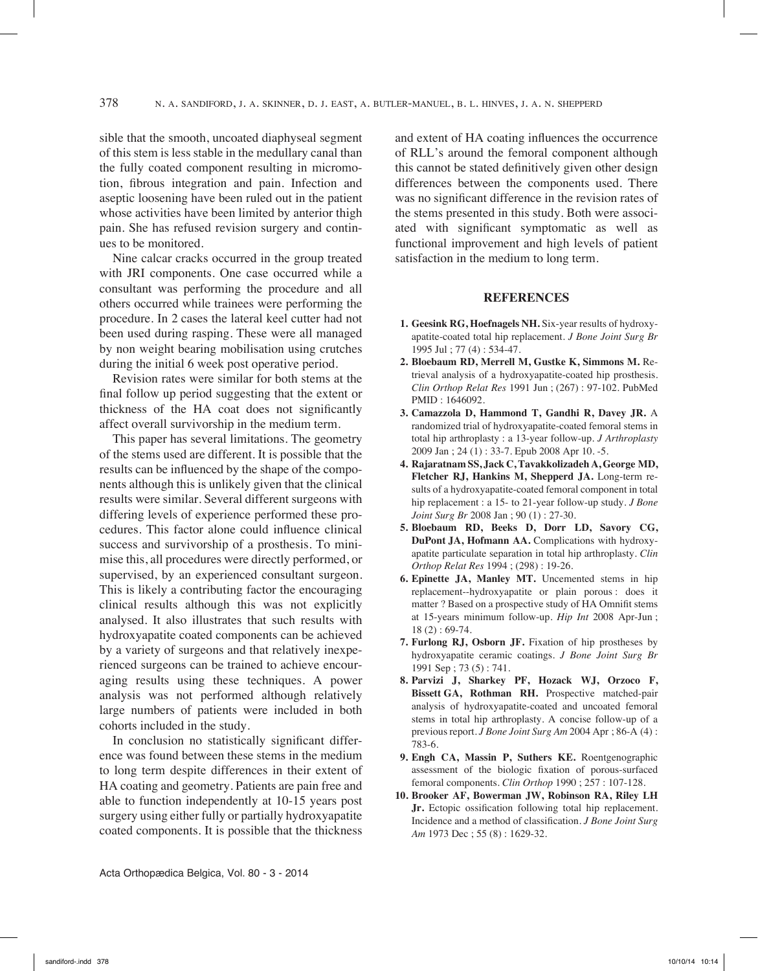sible that the smooth, uncoated diaphyseal segment of this stem is less stable in the medullary canal than the fully coated component resulting in micromotion, fibrous integration and pain. Infection and aseptic loosening have been ruled out in the patient whose activities have been limited by anterior thigh pain. She has refused revision surgery and continues to be monitored.

Nine calcar cracks occurred in the group treated with JRI components. One case occurred while a consultant was performing the procedure and all others occurred while trainees were performing the procedure. In 2 cases the lateral keel cutter had not been used during rasping. These were all managed by non weight bearing mobilisation using crutches during the initial 6 week post operative period.

Revision rates were similar for both stems at the final follow up period suggesting that the extent or thickness of the HA coat does not significantly affect overall survivorship in the medium term.

This paper has several limitations. The geometry of the stems used are different. It is possible that the results can be influenced by the shape of the components although this is unlikely given that the clinical results were similar. Several different surgeons with differing levels of experience performed these procedures. This factor alone could influence clinical success and survivorship of a prosthesis. To minimise this, all procedures were directly performed, or supervised, by an experienced consultant surgeon. This is likely a contributing factor the encouraging clinical results although this was not explicitly analysed. It also illustrates that such results with hydroxyapatite coated components can be achieved by a variety of surgeons and that relatively inexperienced surgeons can be trained to achieve encouraging results using these techniques. A power analysis was not performed although relatively large numbers of patients were included in both cohorts included in the study.

In conclusion no statistically significant difference was found between these stems in the medium to long term despite differences in their extent of HA coating and geometry. Patients are pain free and able to function independently at 10-15 years post surgery using either fully or partially hydroxyapatite coated components. It is possible that the thickness and extent of HA coating influences the occurrence of RLL's around the femoral component although this cannot be stated definitively given other design differences between the components used. There was no significant difference in the revision rates of the stems presented in this study. Both were associated with significant symptomatic as well as functional improvement and high levels of patient satisfaction in the medium to long term.

## **REFERENCES**

- **1. Geesink RG, Hoefnagels NH.** Six-year results of hydroxyapatite-coated total hip replacement. *J Bone Joint Surg Br* 1995 Jul ; 77 (4) : 534-47.
- **2. Bloebaum RD, Merrell M, Gustke K, Simmons M.** Retrieval analysis of a hydroxyapatite-coated hip prosthesis. *Clin Orthop Relat Res* 1991 Jun ; (267) : 97-102. PubMed PMID : 1646092.
- **3. Camazzola D, Hammond T, Gandhi R, Davey JR.** A randomized trial of hydroxyapatite-coated femoral stems in total hip arthroplasty : a 13-year follow-up. *J Arthroplasty* 2009 Jan ; 24 (1) : 33-7. Epub 2008 Apr 10. -5.
- **4. Rajaratnam SS, Jack C, Tavakkolizadeh A, George MD, Fletcher RJ, Hankins M, Shepperd JA.** Long-term results of a hydroxyapatite-coated femoral component in total hip replacement : a 15- to 21-year follow-up study. *J Bone Joint Surg Br* 2008 Jan ; 90 (1) : 27-30.
- **5. Bloebaum RD, Beeks D, Dorr LD, Savory CG, DuPont JA, Hofmann AA.** Complications with hydroxyapatite particulate separation in total hip arthroplasty. *Clin Orthop Relat Res* 1994 ; (298) : 19-26.
- **6. Epinette JA, Manley MT.** Uncemented stems in hip replacement--hydroxyapatite or plain porous : does it matter ? Based on a prospective study of HA Omnifit stems at 15-years minimum follow-up. *Hip Int* 2008 Apr-Jun ; 18 (2) : 69-74.
- **7. Furlong RJ, Osborn JF.** Fixation of hip prostheses by hydroxyapatite ceramic coatings. *J Bone Joint Surg Br* 1991 Sep ; 73 (5) : 741.
- **8. Parvizi J, Sharkey PF, Hozack WJ, Orzoco F, Bissett GA, Rothman RH.** Prospective matched-pair analysis of hydroxyapatite-coated and uncoated femoral stems in total hip arthroplasty. A concise follow-up of a previous report. *J Bone Joint Surg Am* 2004 Apr ; 86-A (4) : 783-6.
- **9. Engh CA, Massin P, Suthers KE.** Roentgenographic assessment of the biologic fixation of porous-surfaced femoral components. *Clin Orthop* 1990 ; 257 : 107-128.
- **10. Brooker AF, Bowerman JW, Robinson RA, Riley LH Jr.** Ectopic ossification following total hip replacement. Incidence and a method of classification. *J Bone Joint Surg Am* 1973 Dec ; 55 (8) : 1629-32.